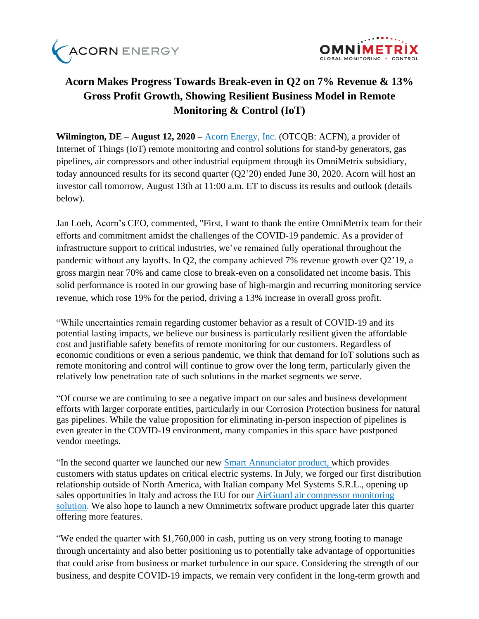



# **Acorn Makes Progress Towards Break-even in Q2 on 7% Revenue & 13% Gross Profit Growth, Showing Resilient Business Model in Remote Monitoring & Control (IoT)**

**Wilmington, DE – August 12, 2020 –** [Acorn Energy, Inc.](http://acornenergy.com/) (OTCQB: ACFN), a provider of Internet of Things (IoT) remote monitoring and control solutions for stand-by generators, gas pipelines, air compressors and other industrial equipment through its OmniMetrix subsidiary, today announced results for its second quarter (Q2'20) ended June 30, 2020. Acorn will host an investor call tomorrow, August 13th at 11:00 a.m. ET to discuss its results and outlook (details below).

Jan Loeb, Acorn's CEO, commented, "First, I want to thank the entire OmniMetrix team for their efforts and commitment amidst the challenges of the COVID-19 pandemic. As a provider of infrastructure support to critical industries, we've remained fully operational throughout the pandemic without any layoffs. In Q2, the company achieved 7% revenue growth over Q2'19, a gross margin near 70% and came close to break-even on a consolidated net income basis. This solid performance is rooted in our growing base of high-margin and recurring monitoring service revenue, which rose 19% for the period, driving a 13% increase in overall gross profit.

"While uncertainties remain regarding customer behavior as a result of COVID-19 and its potential lasting impacts, we believe our business is particularly resilient given the affordable cost and justifiable safety benefits of remote monitoring for our customers. Regardless of economic conditions or even a serious pandemic, we think that demand for IoT solutions such as remote monitoring and control will continue to grow over the long term, particularly given the relatively low penetration rate of such solutions in the market segments we serve.

"Of course we are continuing to see a negative impact on our sales and business development efforts with larger corporate entities, particularly in our Corrosion Protection business for natural gas pipelines. While the value proposition for eliminating in-person inspection of pipelines is even greater in the COVID-19 environment, many companies in this space have postponed vendor meetings.

"In the second quarter we launched our new [Smart Annunciator](https://www.omnimetrix.net/wp-content/uploads/2020/03/Smart-Annunciator-Spec-Sheet-2020-Final2.pdf) product, which provides customers with status updates on critical electric systems. In July, we forged our first distribution relationship outside of North America, with Italian company Mel Systems S.R.L., opening up sales opportunities in Italy and across the EU for our [AirGuard](https://www.omnimetrix.net/wp-content/uploads/2018/10/AIRGuard-Spec-Sheet.pdf) air compressor monitoring solution. We also hope to launch a new Omnimetrix software product upgrade later this quarter offering more features.

"We ended the quarter with \$1,760,000 in cash, putting us on very strong footing to manage through uncertainty and also better positioning us to potentially take advantage of opportunities that could arise from business or market turbulence in our space. Considering the strength of our business, and despite COVID-19 impacts, we remain very confident in the long-term growth and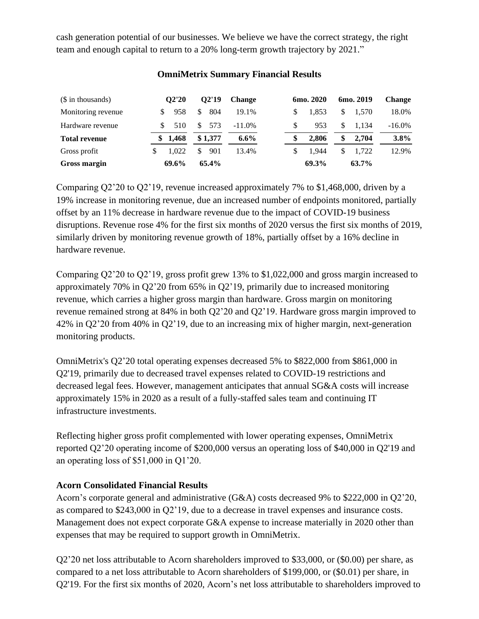cash generation potential of our businesses. We believe we have the correct strategy, the right team and enough capital to return to a 20% long-term growth trajectory by 2021."

| $($$ in thousands)   | O2'20       | 02'19                | <b>Change</b> | 6mo. 2020 | 6mo. 2019   | <b>Change</b> |
|----------------------|-------------|----------------------|---------------|-----------|-------------|---------------|
| Monitoring revenue   | 958         | 804<br>S             | 19.1%         | 1.853     | 1.570<br>\$ | 18.0%         |
| Hardware revenue     | 510         | 573<br><sup>\$</sup> | $-11.0\%$     | 953       | 1.134<br>\$ | $-16.0\%$     |
| <b>Total revenue</b> | 1,468<br>S. | \$1,377              | $6.6\%$       | 2.806     | \$<br>2.704 | $3.8\%$       |
| Gross profit         | 1.022<br>\$ | 901<br>\$            | 13.4%         | 1.944     | \$<br>1.722 | 12.9%         |
| Gross margin         | 69.6%       | 65.4%                |               | 69.3%     | 63.7%       |               |

#### **OmniMetrix Summary Financial Results**

Comparing Q2'20 to Q2'19, revenue increased approximately 7% to \$1,468,000, driven by a 19% increase in monitoring revenue, due an increased number of endpoints monitored, partially offset by an 11% decrease in hardware revenue due to the impact of COVID-19 business disruptions. Revenue rose 4% for the first six months of 2020 versus the first six months of 2019, similarly driven by monitoring revenue growth of 18%, partially offset by a 16% decline in hardware revenue.

Comparing Q2'20 to Q2'19, gross profit grew 13% to \$1,022,000 and gross margin increased to approximately 70% in Q2'20 from 65% in Q2'19, primarily due to increased monitoring revenue, which carries a higher gross margin than hardware. Gross margin on monitoring revenue remained strong at 84% in both Q2'20 and Q2'19. Hardware gross margin improved to 42% in Q2'20 from 40% in Q2'19, due to an increasing mix of higher margin, next-generation monitoring products.

OmniMetrix's Q2'20 total operating expenses decreased 5% to \$822,000 from \$861,000 in Q2'19, primarily due to decreased travel expenses related to COVID-19 restrictions and decreased legal fees. However, management anticipates that annual SG&A costs will increase approximately 15% in 2020 as a result of a fully-staffed sales team and continuing IT infrastructure investments.

Reflecting higher gross profit complemented with lower operating expenses, OmniMetrix reported Q2'20 operating income of \$200,000 versus an operating loss of \$40,000 in Q2'19 and an operating loss of \$51,000 in Q1'20.

## **Acorn Consolidated Financial Results**

Acorn's corporate general and administrative (G&A) costs decreased 9% to \$222,000 in Q2'20, as compared to \$243,000 in Q2'19, due to a decrease in travel expenses and insurance costs. Management does not expect corporate G&A expense to increase materially in 2020 other than expenses that may be required to support growth in OmniMetrix.

Q2'20 net loss attributable to Acorn shareholders improved to \$33,000, or (\$0.00) per share, as compared to a net loss attributable to Acorn shareholders of \$199,000, or (\$0.01) per share, in Q2'19. For the first six months of 2020, Acorn's net loss attributable to shareholders improved to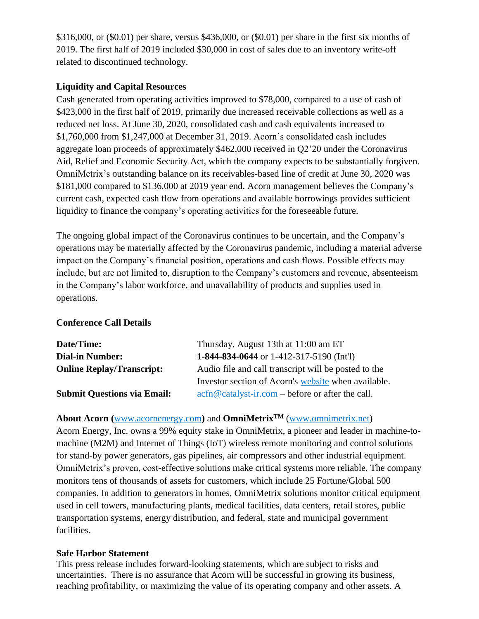\$316,000, or (\$0.01) per share, versus \$436,000, or (\$0.01) per share in the first six months of 2019. The first half of 2019 included \$30,000 in cost of sales due to an inventory write-off related to discontinued technology.

## **Liquidity and Capital Resources**

Cash generated from operating activities improved to \$78,000, compared to a use of cash of \$423,000 in the first half of 2019, primarily due increased receivable collections as well as a reduced net loss. At June 30, 2020, consolidated cash and cash equivalents increased to \$1,760,000 from \$1,247,000 at December 31, 2019. Acorn's consolidated cash includes aggregate loan proceeds of approximately \$462,000 received in Q2'20 under the Coronavirus Aid, Relief and Economic Security Act, which the company expects to be substantially forgiven. OmniMetrix's outstanding balance on its receivables-based line of credit at June 30, 2020 was \$181,000 compared to \$136,000 at 2019 year end. Acorn management believes the Company's current cash, expected cash flow from operations and available borrowings provides sufficient liquidity to finance the company's operating activities for the foreseeable future.

The ongoing global impact of the Coronavirus continues to be uncertain, and the Company's operations may be materially affected by the Coronavirus pandemic, including a material adverse impact on the Company's financial position, operations and cash flows. Possible effects may include, but are not limited to, disruption to the Company's customers and revenue, absenteeism in the Company's labor workforce, and unavailability of products and supplies used in operations.

# **Conference Call Details**

| Date/Time:                         | Thursday, August 13th at 11:00 am ET                                                                                          |  |  |  |  |
|------------------------------------|-------------------------------------------------------------------------------------------------------------------------------|--|--|--|--|
| <b>Dial-in Number:</b>             | 1-844-834-0644 or 1-412-317-5190 (Int'l)                                                                                      |  |  |  |  |
| <b>Online Replay/Transcript:</b>   | Audio file and call transcript will be posted to the                                                                          |  |  |  |  |
|                                    | Investor section of Acorn's website when available.                                                                           |  |  |  |  |
| <b>Submit Questions via Email:</b> | $\operatorname{acfn}\nolimits @ \operatorname{catalyst-ir}.\nolimits com - \operatorname{before}\nolimits$ or after the call. |  |  |  |  |

## **About Acorn (**[www.acornenergy.com](http://www.acornenergy.com/)**)** and **OmniMetrixTM** [\(www.omnimetrix.net\)](http://www.omnimetrix.net/)

Acorn Energy, Inc. owns a 99% equity stake in OmniMetrix, a pioneer and leader in machine-tomachine (M2M) and Internet of Things (IoT) wireless remote monitoring and control solutions for stand-by power generators, gas pipelines, air compressors and other industrial equipment. OmniMetrix's proven, cost-effective solutions make critical systems more reliable. The company monitors tens of thousands of assets for customers, which include 25 Fortune/Global 500 companies. In addition to generators in homes, OmniMetrix solutions monitor critical equipment used in cell towers, manufacturing plants, medical facilities, data centers, retail stores, public transportation systems, energy distribution, and federal, state and municipal government facilities.

## **Safe Harbor Statement**

This press release includes forward-looking statements, which are subject to risks and uncertainties. There is no assurance that Acorn will be successful in growing its business, reaching profitability, or maximizing the value of its operating company and other assets. A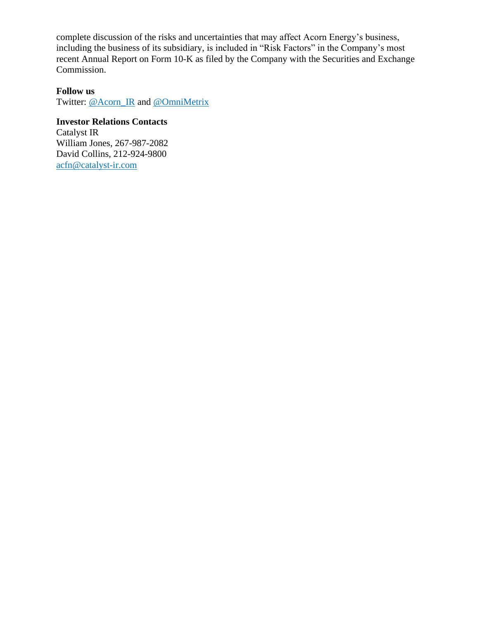complete discussion of the risks and uncertainties that may affect Acorn Energy's business, including the business of its subsidiary, is included in "Risk Factors" in the Company's most recent Annual Report on Form 10-K as filed by the Company with the Securities and Exchange Commission.

#### **Follow us**

Twitter: [@Acorn\\_IR](https://twitter.com/ACORN_IR) and [@OmniMetrix](https://twitter.com/OmniMetrix)

## **Investor Relations Contacts**

Catalyst IR William Jones, 267-987-2082 David Collins, 212-924-9800 [acfn@catalyst-ir.com](mailto:acfn@catalyst-ir.com)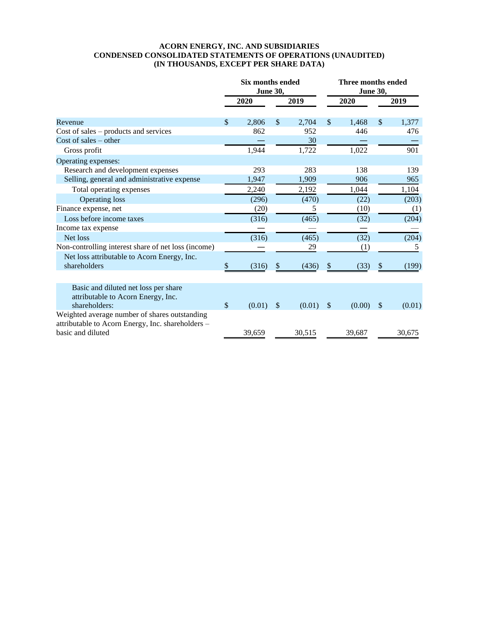#### **ACORN ENERGY, INC. AND SUBSIDIARIES CONDENSED CONSOLIDATED STATEMENTS OF OPERATIONS (UNAUDITED) (IN THOUSANDS, EXCEPT PER SHARE DATA)**

|                                                                                                    |               | <b>Six months ended</b><br><b>June 30,</b> | Three months ended<br><b>June 30,</b> |        |                           |        |                           |        |
|----------------------------------------------------------------------------------------------------|---------------|--------------------------------------------|---------------------------------------|--------|---------------------------|--------|---------------------------|--------|
|                                                                                                    |               | 2020                                       |                                       | 2019   |                           | 2020   |                           | 2019   |
| Revenue                                                                                            | $\mathcal{S}$ | 2,806                                      | \$                                    | 2,704  | $\boldsymbol{\mathsf{S}}$ | 1,468  | \$                        | 1,377  |
| $Cost of sales - products and services$                                                            |               | 862                                        |                                       | 952    |                           | 446    |                           | 476    |
| Cost of sales $-$ other                                                                            |               |                                            |                                       | 30     |                           |        |                           |        |
| Gross profit                                                                                       |               | 1,944                                      |                                       | 1,722  |                           | 1,022  |                           | 901    |
| Operating expenses:                                                                                |               |                                            |                                       |        |                           |        |                           |        |
| Research and development expenses                                                                  |               | 293                                        |                                       | 283    |                           | 138    |                           | 139    |
| Selling, general and administrative expense                                                        |               | 1,947                                      |                                       | 1,909  |                           | 906    |                           | 965    |
| Total operating expenses                                                                           |               | 2,240                                      |                                       | 2,192  |                           | 1,044  |                           | 1,104  |
| <b>Operating loss</b>                                                                              |               | (296)                                      |                                       | (470)  |                           | (22)   |                           | (203)  |
| Finance expense, net                                                                               |               | (20)                                       |                                       | 5      |                           | (10)   |                           | (1)    |
| Loss before income taxes                                                                           |               | (316)                                      |                                       | (465)  |                           | (32)   |                           | (204)  |
| Income tax expense                                                                                 |               |                                            |                                       |        |                           |        |                           |        |
| Net loss                                                                                           |               | (316)                                      |                                       | (465)  |                           | (32)   |                           | (204)  |
| Non-controlling interest share of net loss (income)                                                |               |                                            |                                       | 29     |                           | (1)    |                           | 5      |
| Net loss attributable to Acorn Energy, Inc.<br>shareholders                                        | \$            | (316)                                      | \$                                    | (436)  | \$                        | (33)   | \$                        | (199)  |
| Basic and diluted net loss per share                                                               |               |                                            |                                       |        |                           |        |                           |        |
| attributable to Acorn Energy, Inc.<br>shareholders:                                                | $\frac{1}{2}$ | (0.01)                                     | \$                                    | (0.01) | \$                        | (0.00) | $\boldsymbol{\mathsf{S}}$ | (0.01) |
| Weighted average number of shares outstanding<br>attributable to Acorn Energy, Inc. shareholders - |               |                                            |                                       |        |                           |        |                           |        |
| basic and diluted                                                                                  |               | 39,659                                     |                                       | 30,515 |                           | 39,687 |                           | 30,675 |